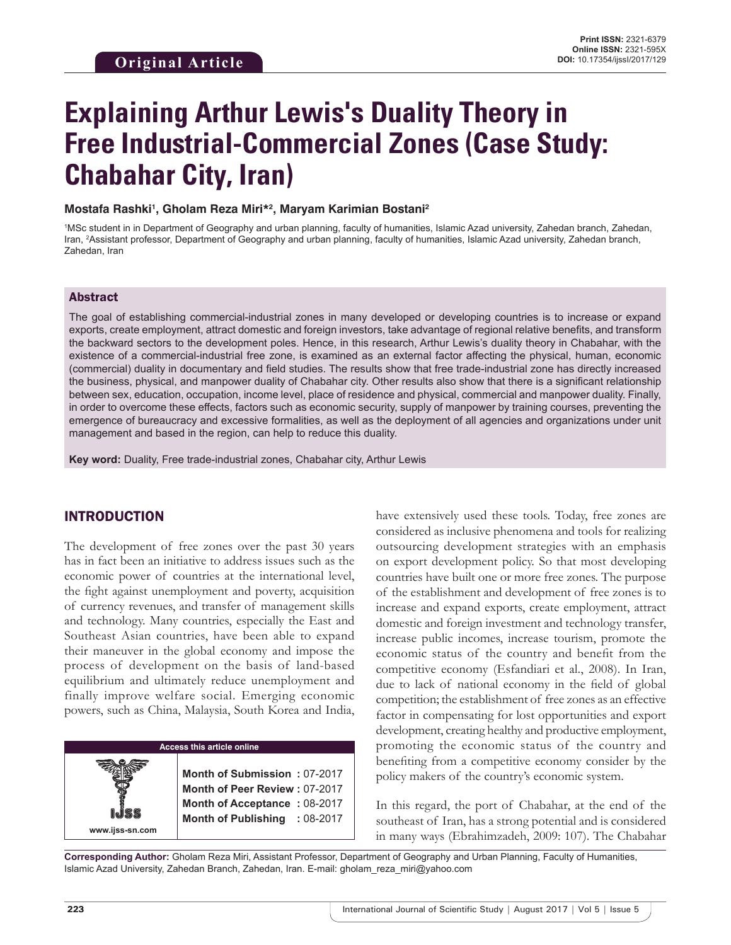# **Explaining Arthur Lewis's Duality Theory in Free Industrial-Commercial Zones (Case Study: Chabahar City, Iran)**

#### **Mostafa Rashki1 , Gholam Reza Miri\*2 , Maryam Karimian Bostani2**

1 MSc student in in Department of Geography and urban planning, faculty of humanities, Islamic Azad university, Zahedan branch, Zahedan, Iran, <sup>2</sup>Assistant professor, Department of Geography and urban planning, faculty of humanities, Islamic Azad university, Zahedan branch, Zahedan, Iran

#### Abstract

The goal of establishing commercial-industrial zones in many developed or developing countries is to increase or expand exports, create employment, attract domestic and foreign investors, take advantage of regional relative benefits, and transform the backward sectors to the development poles. Hence, in this research, Arthur Lewis's duality theory in Chabahar, with the existence of a commercial-industrial free zone, is examined as an external factor affecting the physical, human, economic (commercial) duality in documentary and field studies. The results show that free trade-industrial zone has directly increased the business, physical, and manpower duality of Chabahar city. Other results also show that there is a significant relationship between sex, education, occupation, income level, place of residence and physical, commercial and manpower duality. Finally, in order to overcome these effects, factors such as economic security, supply of manpower by training courses, preventing the emergence of bureaucracy and excessive formalities, as well as the deployment of all agencies and organizations under unit management and based in the region, can help to reduce this duality.

**Key word:** Duality, Free trade-industrial zones, Chabahar city, Arthur Lewis

# INTRODUCTION

The development of free zones over the past 30 years has in fact been an initiative to address issues such as the economic power of countries at the international level, the fight against unemployment and poverty, acquisition of currency revenues, and transfer of management skills and technology. Many countries, especially the East and Southeast Asian countries, have been able to expand their maneuver in the global economy and impose the process of development on the basis of land-based equilibrium and ultimately reduce unemployment and finally improve welfare social. Emerging economic powers, such as China, Malaysia, South Korea and India,

# **Access this article online**

**Month of Submission :** 07-2017 **Month of Peer Review :** 07-2017 **Month of Acceptance : 08-2017 Month of Publishing :** 08-2017 have extensively used these tools. Today, free zones are considered as inclusive phenomena and tools for realizing outsourcing development strategies with an emphasis on export development policy. So that most developing countries have built one or more free zones. The purpose of the establishment and development of free zones is to increase and expand exports, create employment, attract domestic and foreign investment and technology transfer, increase public incomes, increase tourism, promote the economic status of the country and benefit from the competitive economy (Esfandiari et al., 2008). In Iran, due to lack of national economy in the field of global competition; the establishment of free zones as an effective factor in compensating for lost opportunities and export development, creating healthy and productive employment, promoting the economic status of the country and benefiting from a competitive economy consider by the policy makers of the country's economic system.

In this regard, the port of Chabahar, at the end of the southeast of Iran, has a strong potential and is considered in many ways (Ebrahimzadeh, 2009: 107). The Chabahar

**Corresponding Author:** Gholam Reza Miri, Assistant Professor, Department of Geography and Urban Planning, Faculty of Humanities, Islamic Azad University, Zahedan Branch, Zahedan, Iran. E-mail: gholam\_reza\_miri@yahoo.com

**www.ijss-sn.com**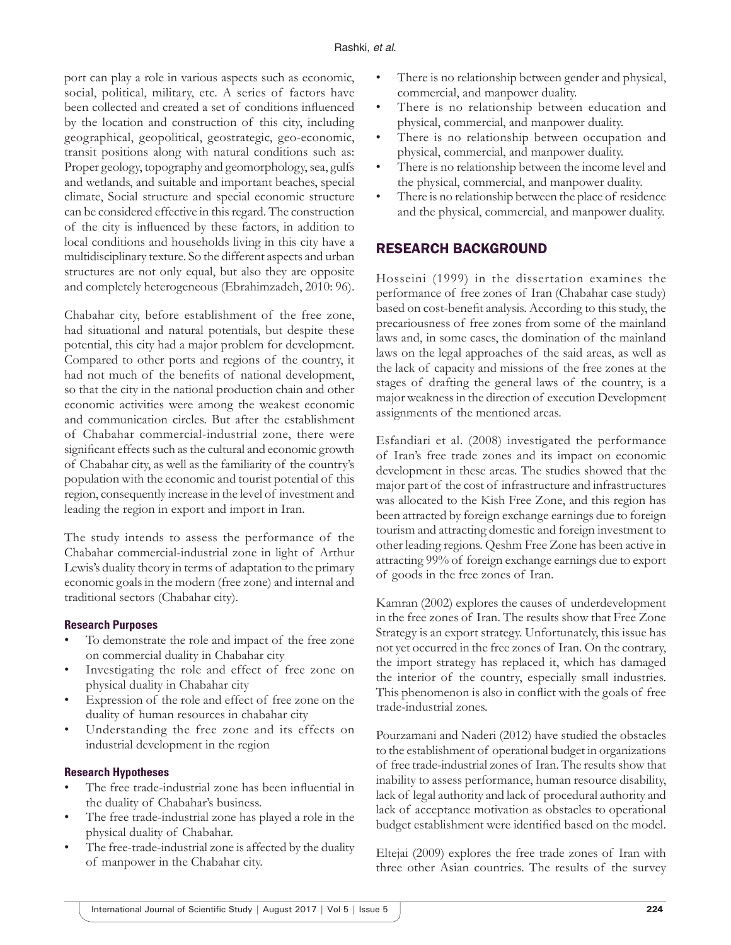port can play a role in various aspects such as economic, social, political, military, etc. A series of factors have been collected and created a set of conditions influenced by the location and construction of this city, including geographical, geopolitical, geostrategic, geo-economic, transit positions along with natural conditions such as: Proper geology, topography and geomorphology, sea, gulfs and wetlands, and suitable and important beaches, special climate, Social structure and special economic structure can be considered effective in this regard. The construction of the city is influenced by these factors, in addition to local conditions and households living in this city have a multidisciplinary texture. So the different aspects and urban structures are not only equal, but also they are opposite and completely heterogeneous (Ebrahimzadeh, 2010: 96).

Chabahar city, before establishment of the free zone, had situational and natural potentials, but despite these potential, this city had a major problem for development. Compared to other ports and regions of the country, it had not much of the benefits of national development, so that the city in the national production chain and other economic activities were among the weakest economic and communication circles. But after the establishment of Chabahar commercial-industrial zone, there were significant effects such as the cultural and economic growth of Chabahar city, as well as the familiarity of the country's population with the economic and tourist potential of this region, consequently increase in the level of investment and leading the region in export and import in Iran.

The study intends to assess the performance of the Chabahar commercial-industrial zone in light of Arthur Lewis's duality theory in terms of adaptation to the primary economic goals in the modern (free zone) and internal and traditional sectors (Chabahar city).

## **Research Purposes**

- To demonstrate the role and impact of the free zone on commercial duality in Chabahar city
- Investigating the role and effect of free zone on physical duality in Chabahar city
- Expression of the role and effect of free zone on the duality of human resources in chabahar city
- Understanding the free zone and its effects on industrial development in the region

## **Research Hypotheses**

- The free trade-industrial zone has been influential in the duality of Chabahar's business.
- The free trade-industrial zone has played a role in the physical duality of Chabahar.
- The free-trade-industrial zone is affected by the duality of manpower in the Chabahar city.
- There is no relationship between gender and physical, commercial, and manpower duality.
- There is no relationship between education and physical, commercial, and manpower duality.
- There is no relationship between occupation and physical, commercial, and manpower duality.
- There is no relationship between the income level and the physical, commercial, and manpower duality.
- There is no relationship between the place of residence and the physical, commercial, and manpower duality.

# RESEARCH BACKGROUND

Hosseini (1999) in the dissertation examines the performance of free zones of Iran (Chabahar case study) based on cost-benefit analysis. According to this study, the precariousness of free zones from some of the mainland laws and, in some cases, the domination of the mainland laws on the legal approaches of the said areas, as well as the lack of capacity and missions of the free zones at the stages of drafting the general laws of the country, is a major weakness in the direction of execution Development assignments of the mentioned areas.

Esfandiari et al. (2008) investigated the performance of Iran's free trade zones and its impact on economic development in these areas. The studies showed that the major part of the cost of infrastructure and infrastructures was allocated to the Kish Free Zone, and this region has been attracted by foreign exchange earnings due to foreign tourism and attracting domestic and foreign investment to other leading regions. Qeshm Free Zone has been active in attracting 99% of foreign exchange earnings due to export of goods in the free zones of Iran.

Kamran (2002) explores the causes of underdevelopment in the free zones of Iran. The results show that Free Zone Strategy is an export strategy. Unfortunately, this issue has not yet occurred in the free zones of Iran. On the contrary, the import strategy has replaced it, which has damaged the interior of the country, especially small industries. This phenomenon is also in conflict with the goals of free trade-industrial zones.

Pourzamani and Naderi (2012) have studied the obstacles to the establishment of operational budget in organizations of free trade-industrial zones of Iran. The results show that inability to assess performance, human resource disability, lack of legal authority and lack of procedural authority and lack of acceptance motivation as obstacles to operational budget establishment were identified based on the model.

Eltejai (2009) explores the free trade zones of Iran with three other Asian countries. The results of the survey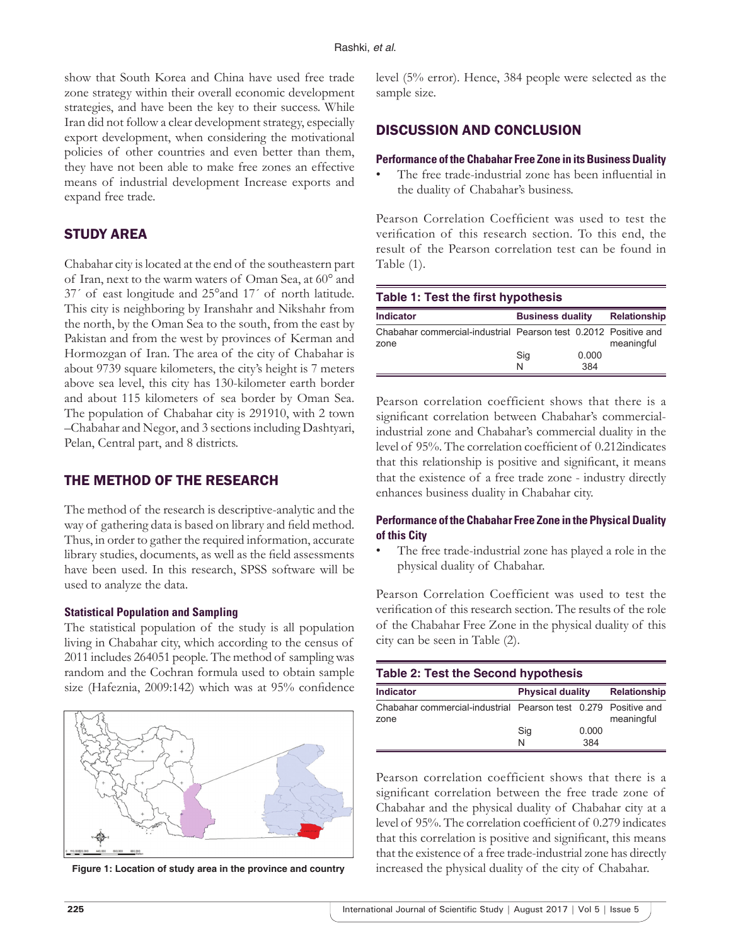show that South Korea and China have used free trade zone strategy within their overall economic development strategies, and have been the key to their success. While Iran did not follow a clear development strategy, especially export development, when considering the motivational policies of other countries and even better than them, they have not been able to make free zones an effective means of industrial development Increase exports and expand free trade.

# STUDY AREA

Chabahar city is located at the end of the southeastern part of Iran, next to the warm waters of Oman Sea, at 60° and 37´ of east longitude and 25°and 17´ of north latitude. This city is neighboring by Iranshahr and Nikshahr from the north, by the Oman Sea to the south, from the east by Pakistan and from the west by provinces of Kerman and Hormozgan of Iran. The area of the city of Chabahar is about 9739 square kilometers, the city's height is 7 meters above sea level, this city has 130-kilometer earth border and about 115 kilometers of sea border by Oman Sea. The population of Chabahar city is 291910, with 2 town –Chabahar and Negor, and 3 sections including Dashtyari, Pelan, Central part, and 8 districts.

# THE METHOD OF THE RESEARCH

The method of the research is descriptive-analytic and the way of gathering data is based on library and field method. Thus, in order to gather the required information, accurate library studies, documents, as well as the field assessments have been used. In this research, SPSS software will be used to analyze the data.

## **Statistical Population and Sampling**

The statistical population of the study is all population living in Chabahar city, which according to the census of 2011 includes 264051 people. The method of sampling was random and the Cochran formula used to obtain sample size (Hafeznia, 2009:142) which was at  $95%$  confidence



level (5% error). Hence, 384 people were selected as the sample size.

# DISCUSSION AND CONCLUSION

#### **Performance of the Chabahar Free Zone in its Business Duality**

The free trade-industrial zone has been influential in the duality of Chabahar's business.

Pearson Correlation Coefficient was used to test the verification of this research section. To this end, the result of the Pearson correlation test can be found in Table (1).

| Table 1: Test the first hypothesis                                      |                         |       |                     |  |
|-------------------------------------------------------------------------|-------------------------|-------|---------------------|--|
| <b>Indicator</b>                                                        | <b>Business duality</b> |       | <b>Relationship</b> |  |
| Chabahar commercial-industrial Pearson test 0.2012 Positive and<br>zone |                         |       | meaningful          |  |
|                                                                         | Sig                     | 0.000 |                     |  |
|                                                                         | N                       | 384   |                     |  |

Pearson correlation coefficient shows that there is a significant correlation between Chabahar's commercialindustrial zone and Chabahar's commercial duality in the level of 95%. The correlation coefficient of 0.212indicates that this relationship is positive and significant, it means that the existence of a free trade zone - industry directly enhances business duality in Chabahar city.

## **Performance of the Chabahar Free Zone in the Physical Duality of this City**

The free trade-industrial zone has played a role in the physical duality of Chabahar.

Pearson Correlation Coefficient was used to test the verification of this research section. The results of the role of the Chabahar Free Zone in the physical duality of this city can be seen in Table (2).

| <b>Table 2: Test the Second hypothesis</b>                             |                         |                     |            |  |
|------------------------------------------------------------------------|-------------------------|---------------------|------------|--|
| <b>Indicator</b>                                                       | <b>Physical duality</b> | <b>Relationship</b> |            |  |
| Chabahar commercial-industrial Pearson test 0.279 Positive and<br>zone |                         |                     | meaningful |  |
|                                                                        | Sig                     | 0.000               |            |  |
|                                                                        | N                       | 384                 |            |  |

Pearson correlation coefficient shows that there is a significant correlation between the free trade zone of Chabahar and the physical duality of Chabahar city at a level of 95%. The correlation coefficient of 0.279 indicates that this correlation is positive and significant, this means that the existence of a free trade-industrial zone has directly **Figure 1: Location of study area in the province and country** increased the physical duality of the city of Chabahar.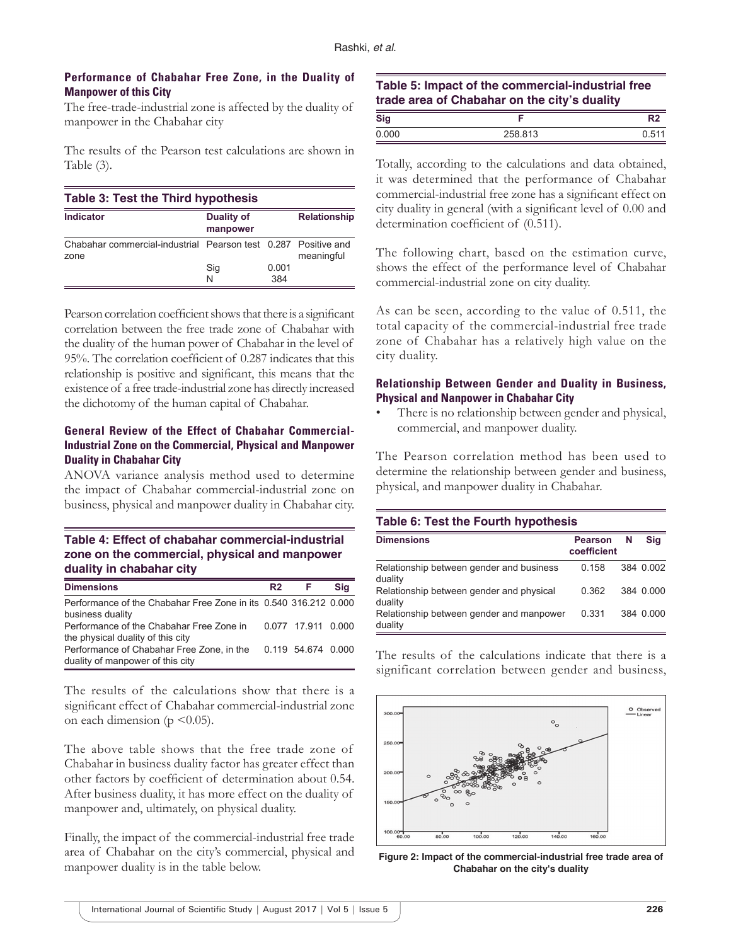## **Performance of Chabahar Free Zone, in the Duality of Manpower of this City**

The free-trade-industrial zone is affected by the duality of manpower in the Chabahar city

The results of the Pearson test calculations are shown in Table (3).

| Table 3: Test the Third hypothesis                                     |                               |              |                     |  |
|------------------------------------------------------------------------|-------------------------------|--------------|---------------------|--|
| Indicator                                                              | <b>Duality of</b><br>manpower |              | <b>Relationship</b> |  |
| Chabahar commercial-industrial Pearson test 0.287 Positive and<br>zone |                               |              | meaningful          |  |
|                                                                        | Sig<br>N                      | 0.001<br>384 |                     |  |

Pearson correlation coefficient shows that there is a significant correlation between the free trade zone of Chabahar with the duality of the human power of Chabahar in the level of 95%. The correlation coefficient of 0.287 indicates that this relationship is positive and significant, this means that the existence of a free trade-industrial zone has directly increased the dichotomy of the human capital of Chabahar.

# **General Review of the Effect of Chabahar Commercial-Industrial Zone on the Commercial, Physical and Manpower Duality in Chabahar City**

ANOVA variance analysis method used to determine the impact of Chabahar commercial-industrial zone on business, physical and manpower duality in Chabahar city.

# **Table 4: Effect of chabahar commercial-industrial zone on the commercial, physical and manpower duality in chabahar city**

| <b>Dimensions</b>                                                | R2 | F                  | Sia |
|------------------------------------------------------------------|----|--------------------|-----|
| Performance of the Chabahar Free Zone in its 0.540 316.212 0.000 |    |                    |     |
| business duality                                                 |    |                    |     |
| Performance of the Chabahar Free Zone in                         |    | 0.077 17.911 0.000 |     |
| the physical duality of this city                                |    |                    |     |
| Performance of Chabahar Free Zone, in the                        |    | 0 119 54 674 0 000 |     |
| duality of manpower of this city                                 |    |                    |     |

The results of the calculations show that there is a significant effect of Chabahar commercial-industrial zone on each dimension ( $p \le 0.05$ ).

The above table shows that the free trade zone of Chabahar in business duality factor has greater effect than other factors by coefficient of determination about 0.54. After business duality, it has more effect on the duality of manpower and, ultimately, on physical duality.

Finally, the impact of the commercial-industrial free trade area of Chabahar on the city's commercial, physical and manpower duality is in the table below.

# **Table 5: Impact of the commercial-industrial free trade area of Chabahar on the city's duality**

| <b>Sig</b> |         |     |
|------------|---------|-----|
| 0.000      | 258.813 | 0.5 |

Totally, according to the calculations and data obtained, it was determined that the performance of Chabahar commercial-industrial free zone has a significant effect on city duality in general (with a significant level of 0.00 and determination coefficient of (0.511).

The following chart, based on the estimation curve, shows the effect of the performance level of Chabahar commercial-industrial zone on city duality.

As can be seen, according to the value of 0.511, the total capacity of the commercial-industrial free trade zone of Chabahar has a relatively high value on the city duality.

## **Relationship Between Gender and Duality in Business, Physical and Nanpower in Chabahar City**

There is no relationship between gender and physical, commercial, and manpower duality.

The Pearson correlation method has been used to determine the relationship between gender and business, physical, and manpower duality in Chabahar.

## **Table 6: Test the Fourth hypothesis**

| <b>Dimensions</b>                                   | Pearson<br>coefficient | N | Sia       |
|-----------------------------------------------------|------------------------|---|-----------|
| Relationship between gender and business<br>duality | 0.158                  |   | 384 0.002 |
| Relationship between gender and physical<br>duality | 0.362                  |   | 384 0.000 |
| Relationship between gender and manpower<br>duality | 0.331                  |   | 384 0.000 |

The results of the calculations indicate that there is a significant correlation between gender and business,



**Figure 2: Impact of the commercial-industrial free trade area of Chabahar on the city's duality**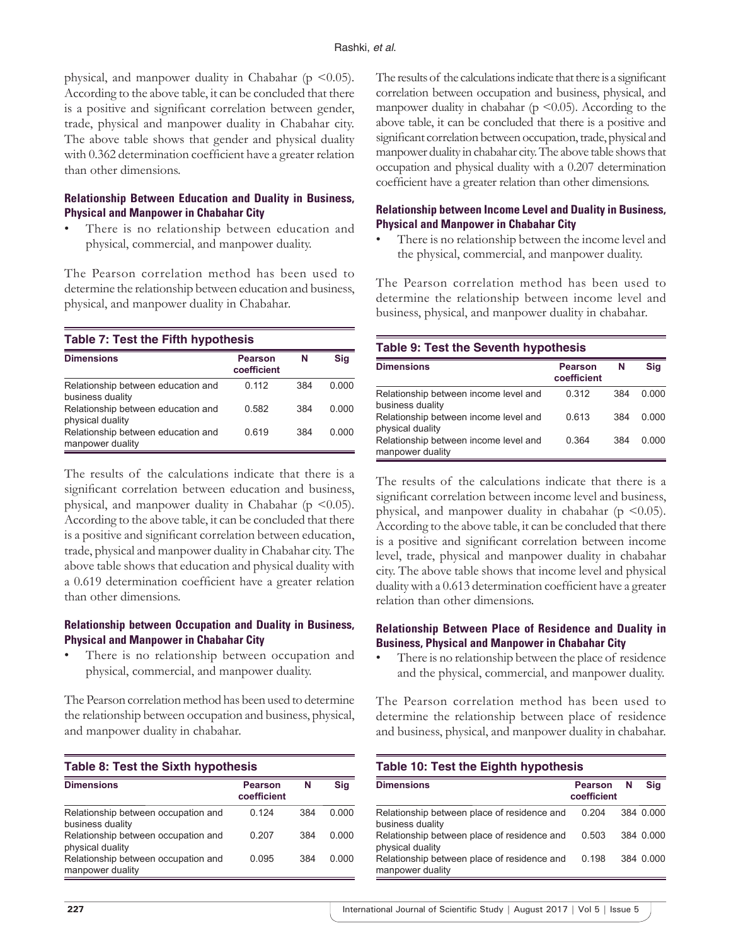physical, and manpower duality in Chabahar ( $p \le 0.05$ ). According to the above table, it can be concluded that there is a positive and significant correlation between gender, trade, physical and manpower duality in Chabahar city. The above table shows that gender and physical duality with 0.362 determination coefficient have a greater relation than other dimensions.

## **Relationship Between Education and Duality in Business, Physical and Manpower in Chabahar City**

There is no relationship between education and physical, commercial, and manpower duality.

The Pearson correlation method has been used to determine the relationship between education and business, physical, and manpower duality in Chabahar.

**Table 7: Test the Fifth hypothesis**

| <b>Dimensions</b>                                      | <b>Pearson</b><br>coefficient | N   | Sig   |
|--------------------------------------------------------|-------------------------------|-----|-------|
| Relationship between education and<br>business duality | 0.112                         | 384 | 0.000 |
| Relationship between education and<br>physical duality | 0.582                         | 384 | 0.000 |
| Relationship between education and<br>manpower duality | 0.619                         | 384 | 0.000 |

The results of the calculations indicate that there is a significant correlation between education and business, physical, and manpower duality in Chabahar ( $p \le 0.05$ ). According to the above table, it can be concluded that there is a positive and significant correlation between education, trade, physical and manpower duality in Chabahar city. The above table shows that education and physical duality with a 0.619 determination coefficient have a greater relation than other dimensions.

## **Relationship between Occupation and Duality in Business, Physical and Manpower in Chabahar City**

There is no relationship between occupation and physical, commercial, and manpower duality.

The Pearson correlation method has been used to determine the relationship between occupation and business, physical, and manpower duality in chabahar.

| <b>Table 8: Test the Sixth hypothesis</b>               |                               |     |       |
|---------------------------------------------------------|-------------------------------|-----|-------|
| <b>Dimensions</b>                                       | <b>Pearson</b><br>coefficient | N   | Sig   |
| Relationship between occupation and<br>business duality | 0.124                         | 384 | 0.000 |
| Relationship between occupation and<br>physical duality | 0.207                         | 384 | 0.000 |
| Relationship between occupation and<br>manpower duality | 0.095                         | 384 | 0.000 |

The results of the calculations indicate that there is a significant correlation between occupation and business, physical, and manpower duality in chabahar ( $p \le 0.05$ ). According to the above table, it can be concluded that there is a positive and significant correlation between occupation, trade, physical and manpower duality in chabahar city. The above table shows that occupation and physical duality with a 0.207 determination coefficient have a greater relation than other dimensions.

## **Relationship between Income Level and Duality in Business, Physical and Manpower in Chabahar City**

• There is no relationship between the income level and the physical, commercial, and manpower duality.

The Pearson correlation method has been used to determine the relationship between income level and business, physical, and manpower duality in chabahar.

## **Table 9: Test the Seventh hypothesis**

| <b>Dimensions</b>                                         | <b>Pearson</b><br>coefficient | N   | Sig   |
|-----------------------------------------------------------|-------------------------------|-----|-------|
| Relationship between income level and<br>business duality | 0.312                         | 384 | 0.000 |
| Relationship between income level and<br>physical duality | 0.613                         | 384 | 0.000 |
| Relationship between income level and<br>manpower duality | 0.364                         | 384 | 0.000 |

The results of the calculations indicate that there is a significant correlation between income level and business, physical, and manpower duality in chabahar ( $p \le 0.05$ ). According to the above table, it can be concluded that there is a positive and significant correlation between income level, trade, physical and manpower duality in chabahar city. The above table shows that income level and physical duality with a 0.613 determination coefficient have a greater relation than other dimensions.

#### **Relationship Between Place of Residence and Duality in Business, Physical and Manpower in Chabahar City**

• There is no relationship between the place of residence and the physical, commercial, and manpower duality.

The Pearson correlation method has been used to determine the relationship between place of residence and business, physical, and manpower duality in chabahar.

| Table 10: Test the Eighth hypothesis                            |                               |   |           |
|-----------------------------------------------------------------|-------------------------------|---|-----------|
| <b>Dimensions</b>                                               | <b>Pearson</b><br>coefficient | N | Sia       |
| Relationship between place of residence and<br>business duality | 0.204                         |   | 384 0.000 |
| Relationship between place of residence and<br>physical duality | 0.503                         |   | 384 0.000 |
| Relationship between place of residence and<br>manpower duality | 0.198                         |   | 384 0.000 |